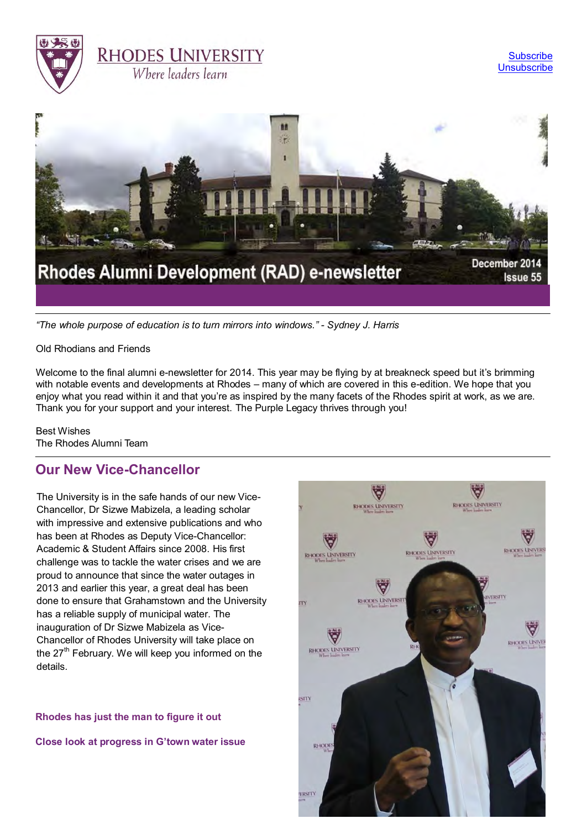



*"The whole purpose of education is to turn mirrors into windows." - Sydney J. Harris*

Old Rhodians and Friends

Welcome to the final alumni e-newsletter for 2014. This year may be flying by at breakneck speed but it's brimming with notable events and developments at Rhodes – many of which are covered in this e-edition. We hope that you enjoy what you read within it and that you're as inspired by the many facets of the Rhodes spirit at work, as we are. Thank you for your support and your interest. The Purple Legacy thrives through you!

Best Wishes The Rhodes Alumni Team

## **Our New Vice-Chancellor**

The University is in the safe hands of our new Vice-Chancellor, Dr Sizwe Mabizela, a leading scholar with impressive and extensive publications and who has been at Rhodes as Deputy Vice-Chancellor: Academic & Student Affairs since 2008. His first challenge was to tackle the water crises and we are proud to announce that since the water outages in 2013 and earlier this year, a great deal has been done to ensure that Grahamstown and the University has a reliable supply of municipal water. The inauguration of Dr Sizwe Mabizela as Vice-Chancellor of Rhodes University will take place on the  $27<sup>th</sup>$  February. We will keep you informed on the details.

**[Rhodes has just the man to figure it out](http://www.ru.ac.za/latestnews/rhodeshasjustthemantofigureitout.html)**

**[Close look at progress in G'town water issue](http://www.ru.ac.za/latestnews/closelookatprogressingtownwaterissue.html)**

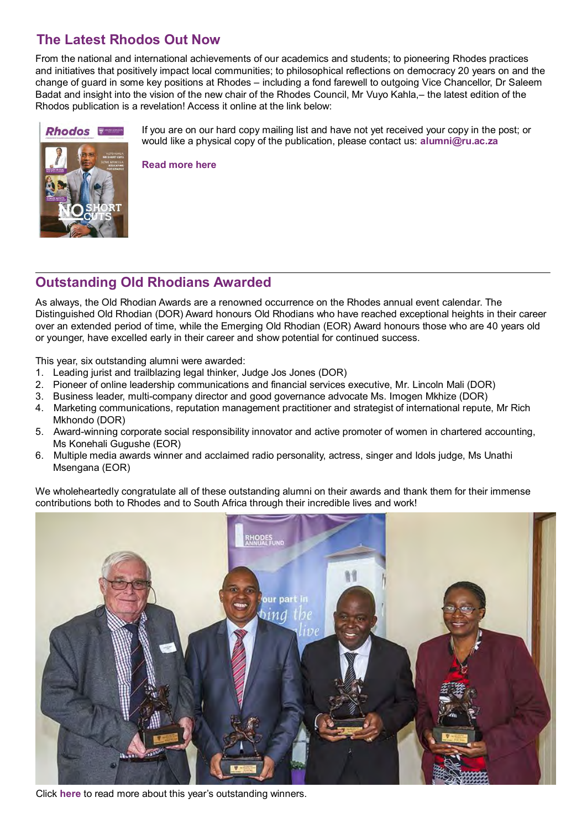# **The Latest Rhodos Out Now**

From the national and international achievements of our academics and students; to pioneering Rhodes practices and initiatives that positively impact local communities; to philosophical reflections on democracy 20 years on and the change of guard in some key positions at Rhodes – including a fond farewell to outgoing Vice Chancellor, Dr Saleem Badat and insight into the vision of the new chair of the Rhodes Council, Mr Vuyo Kahla,– the latest edition of the Rhodos publication is a revelation! Access it online at the link below:



If you are on our hard copy mailing list and have not yet received your copy in the post; or would like a physical copy of the publication, please contact us: **[alumni@ru.ac.za](mailto:alumni@ru.ac.za)**

**[Read more here](http://www.myvirtualpaper.com/doc/rhodes_university/rhodos-2014/2014082501/%230)**

## **Outstanding Old Rhodians Awarded**

As always, the Old Rhodian Awards are a renowned occurrence on the Rhodes annual event calendar. The Distinguished Old Rhodian (DOR) Award honours Old Rhodians who have reached exceptional heights in their career over an extended period of time, while the Emerging Old Rhodian (EOR) Award honours those who are 40 years old or younger, have excelled early in their career and show potential for continued success.

This year, six outstanding alumni were awarded:

- 1. Leading jurist and trailblazing legal thinker, Judge Jos Jones (DOR)
- 2. Pioneer of online leadership communications and financial services executive, Mr. Lincoln Mali (DOR)
- 3. Business leader, multi-company director and good governance advocate Ms. Imogen Mkhize (DOR)
- 4. Marketing communications, reputation management practitioner and strategist of international repute, Mr Rich Mkhondo (DOR)
- 5. Award-winning corporate social responsibility innovator and active promoter of women in chartered accounting, Ms Konehali Gugushe (EOR)
- 6. Multiple media awards winner and acclaimed radio personality, actress, singer and Idols judge, Ms Unathi Msengana (EOR)

We wholeheartedly congratulate all of these outstanding alumni on their awards and thank them for their immense contributions both to Rhodes and to South Africa through their incredible lives and work!



Click **[here](http://www.ru.ac.za/alumni/alumnirelations/oldrhodianunion/oldrhodianawards/2014recipients/)** to read more about this year's outstanding winners.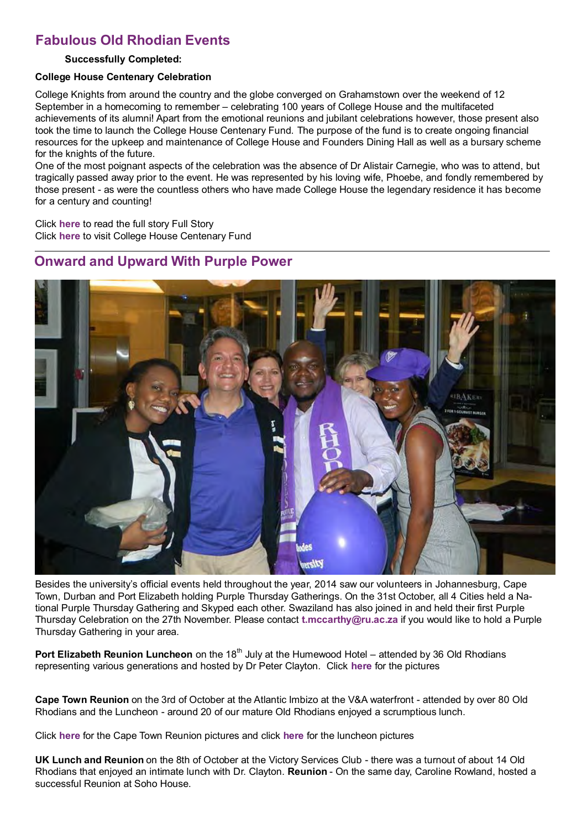## **Fabulous Old Rhodian Events**

#### **Successfully Completed:**

#### **College House Centenary Celebration**

College Knights from around the country and the globe converged on Grahamstown over the weekend of 12 September in a homecoming to remember – celebrating 100 years of College House and the multifaceted achievements of its alumni! Apart from the emotional reunions and jubilant celebrations however, those present also took the time to launch the College House Centenary Fund. The purpose of the fund is to create ongoing financial resources for the upkeep and maintenance of College House and Founders Dining Hall as well as a bursary scheme for the knights of the future.

One of the most poignant aspects of the celebration was the absence of Dr Alistair Carnegie, who was to attend, but tragically passed away prior to the event. He was represented by his loving wife, Phoebe, and fondly remembered by those present - as were the countless others who have made College House the legendary residence it has become for a century and counting!

Click **[here](http://www.ru.ac.za/alumni/alumnirelations/events/collegehousecentenary/)** to read the full story Full Story Click **[here](http://www.ru.ac.za/alumni/alumnirelations/events/collegehousecentenary/collegehousecentenaryfund.html)** to visit College House Centenary Fund

## **Onward and Upward With Purple Power**



Besides the university's official events held throughout the year, 2014 saw our volunteers in Johannesburg, Cape Town, Durban and Port Elizabeth holding Purple Thursday Gatherings. On the 31st October, all 4 Cities held a National Purple Thursday Gathering and Skyped each other. Swaziland has also joined in and held their first Purple Thursday Celebration on the 27th November. Please contact **[t.mccarthy@ru.ac.za](mailto:t.mccarthy@ru.ac.za)** if you would like to hold a Purple Thursday Gathering in your area.

**Port Elizabeth Reunion Luncheon** on the 18<sup>th</sup> July at the Humewood Hotel – attended by 36 Old Rhodians representing various generations and hosted by Dr Peter Clayton. Click **[here](http://gallery.ru.ac.za/v/ALUMNI_001/Port+Elizabeth+Reunion+Luncheon+2014_001/)** for the pictures

**Cape Town Reunion** on the 3rd of October at the Atlantic Imbizo at the V&A waterfront - attended by over 80 Old Rhodians and the Luncheon - around 20 of our mature Old Rhodians enjoyed a scrumptious lunch.

Click **[here](http://gallery.ru.ac.za/v/ALUMNI_001/Cape+Town+Reunion+2014/)** for the Cape Town Reunion pictures and click **[here](http://gallery.ru.ac.za/v/ALUMNI_001/Cape+Town+Lunch+2014_001/)** for the luncheon pictures

**UK Lunch and Reunion** on the 8th of October at the Victory Services Club - there was a turnout of about 14 Old Rhodians that enjoyed an intimate lunch with Dr. Clayton. **Reunion** - On the same day, Caroline Rowland, hosted a successful Reunion at Soho House.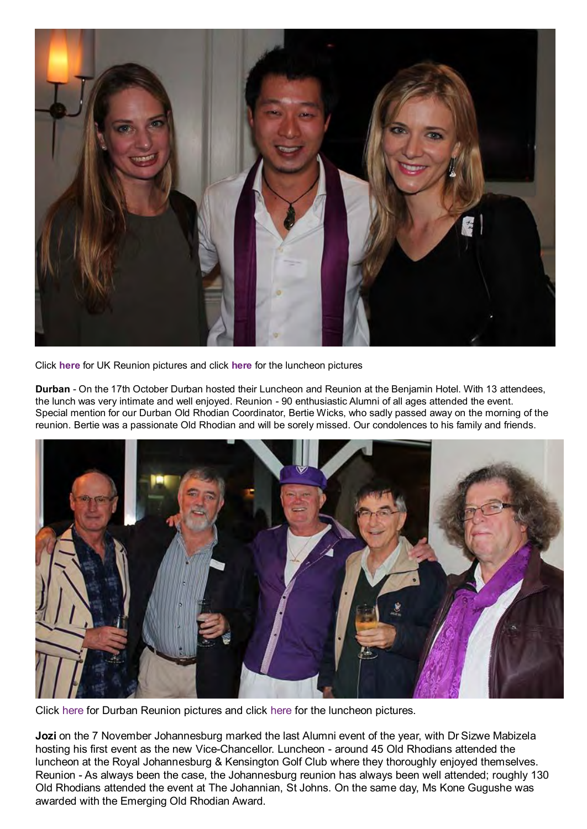

Click **[here](http://gallery.ru.ac.za/v/ALUMNI_001/UK+Reunion+2014/)** for UK Reunion pictures and click **[here](http://gallery.ru.ac.za/v/ALUMNI_001/UK+Legacy+Luncheon/)** for the luncheon pictures

**Durban** - On the 17th October Durban hosted their Luncheon and Reunion at the Benjamin Hotel. With 13 attendees, the lunch was very intimate and well enjoyed. Reunion - 90 enthusiastic Alumni of all ages attended the event. Special mention for our Durban Old Rhodian Coordinator, Bertie Wicks, who sadly passed away on the morning of the reunion. Bertie was a passionate Old Rhodian and will be sorely missed. Our condolences to his family and friends.



Click [here](http://gallery.ru.ac.za/v/ALUMNI_001/Durban+Reunion+2014/) for Durban Reunion pictures and click [here](http://gallery.ru.ac.za/v/ALUMNI_001/Durban+Luncheon+2014/) for the luncheon pictures.

Jozi on the 7 November Johannesburg marked the last Alumni event of the year, with Dr Sizwe Mabizela hosting his first event as the new Vice-Chancellor. Luncheon - around 45 Old Rhodians attended the luncheon at the Royal Johannesburg & Kensington Golf Club where they thoroughly enjoyed themselves. Reunion - As always been the case, the Johannesburg reunion has always been well attended; roughly 130 Old Rhodians attended the event at The Johannian, St Johns. On the same day, Ms Kone Gugushe was awarded with the Emerging Old Rhodian Award.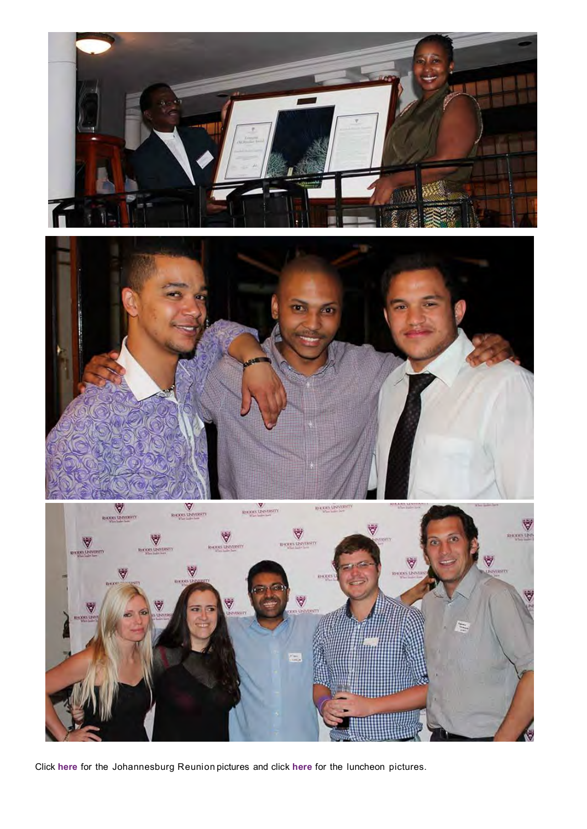





Click **[here](http://gallery.ru.ac.za/v/ALUMNI_001/Johannesburg+Reunion+2014/)** for the Johannesburg Reunion pictures and click **[here](http://gallery.ru.ac.za/v/ALUMNI_001/Johannesburg+Legacy+Luncheon+2014/)** for the luncheon pictures.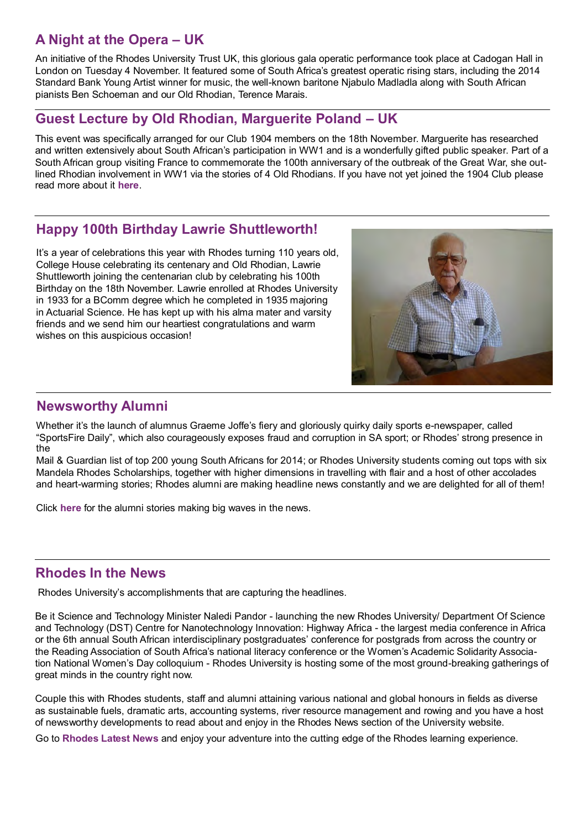# **A Night at the Opera – UK**

An initiative of the Rhodes University Trust UK, this glorious gala operatic performance took place at Cadogan Hall in London on Tuesday 4 November. It featured some of South Africa's greatest operatic rising stars, including the 2014 Standard Bank Young Artist winner for music, the well-known baritone Njabulo Madladla along with South African pianists Ben Schoeman and our Old Rhodian, Terence Marais.

## **Guest Lecture by Old Rhodian, Marguerite Poland – UK**

This event was specifically arranged for our Club 1904 members on the 18th November. Marguerite has researched and written extensively about South African's participation in WW1 and is a wonderfully gifted public speaker. Part of a South African group visiting France to commemorate the 100th anniversary of the outbreak of the Great War, she outlined Rhodian involvement in WW1 via the stories of 4 Old Rhodians. If you have not yet joined the 1904 Club please read more about it **[here](http://www.rhodesalumni.co.uk/funding-needs/1904-club-membership/)**.

## **Happy 100th Birthday Lawrie Shuttleworth!**

It's a year of celebrations this year with Rhodes turning 110 years old, College House celebrating its centenary and Old Rhodian, Lawrie Shuttleworth joining the centenarian club by celebrating his 100th Birthday on the 18th November. Lawrie enrolled at Rhodes University in 1933 for a BComm degree which he completed in 1935 majoring in Actuarial Science. He has kept up with his alma mater and varsity friends and we send him our heartiest congratulations and warm wishes on this auspicious occasion!



#### **Newsworthy Alumni**

Whether it's the launch of alumnus Graeme Joffe's fiery and gloriously quirky daily sports e-newspaper, called "SportsFire Daily", which also courageously exposes fraud and corruption in SA sport; or Rhodes' strong presence in the

Mail & Guardian list of top 200 young South Africans for 2014; or Rhodes University students coming out tops with six Mandela Rhodes Scholarships, together with higher dimensions in travelling with flair and a host of other accolades and heart-warming stories; Rhodes alumni are making headline news constantly and we are delighted for all of them!

Click **[here](http://www.ru.ac.za/alumni/alumnirelations/news/alumniinthenews/)** for the alumni stories making big waves in the news.

## **Rhodes In the News**

Rhodes University's accomplishments that are capturing the headlines.

Be it Science and Technology Minister Naledi Pandor - launching the new Rhodes University/ Department Of Science and Technology (DST) Centre for Nanotechnology Innovation: Highway Africa - the largest media conference in Africa or the 6th annual South African interdisciplinary postgraduates' conference for postgrads from across the country or the Reading Association of South Africa's national literacy conference or the Women's Academic Solidarity Association National Women's Day colloquium - Rhodes University is hosting some of the most ground-breaking gatherings of great minds in the country right now.

Couple this with Rhodes students, staff and alumni attaining various national and global honours in fields as diverse as sustainable fuels, dramatic arts, accounting systems, river resource management and rowing and you have a host of newsworthy developments to read about and enjoy in the Rhodes News section of the University website.

Go to **[Rhodes Latest News](http://www.ru.ac.za/latestnews/)** and enjoy your adventure into the cutting edge of the Rhodes learning experience.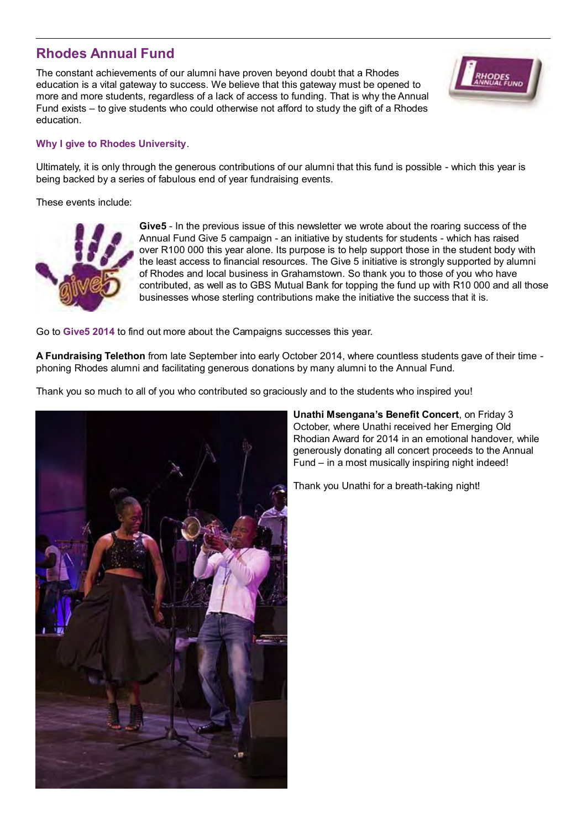## **Rhodes Annual Fund**

The constant achievements of our alumni have proven beyond doubt that a Rhodes education is a vital gateway to success. We believe that this gateway must be opened to more and more students, regardless of a lack of access to funding. That is why the Annual Fund exists – to give students who could otherwise not afford to study the gift of a Rhodes education.

#### **[Why I give to Rhodes University](https://www.ru.ac.za/alumnigiving/whyigivetorhodes/suelund1980.html)**.

Ultimately, it is only through the generous contributions of our alumni that this fund is possible - which this year is being backed by a series of fabulous end of year fundraising events.

These events include:



**Give5** - In the previous issue of this newsletter we wrote about the roaring success of the Annual Fund Give 5 campaign - an initiative by students for students - which has raised over R100 000 this year alone. Its purpose is to help support those in the student body with the least access to financial resources. The Give 5 initiative is strongly supported by alumni of Rhodes and local business in Grahamstown. So thank you to those of you who have contributed, as well as to GBS Mutual Bank for topping the fund up with R10 000 and all those businesses whose sterling contributions make the initiative the success that it is.

Go to **[Give5 2014](http://www.ru.ac.za/alumni/studentradactivities/give5/give5-2014/)** to find out more about the Campaigns successes this year.

**A Fundraising Telethon** from late September into early October 2014, where countless students gave of their time phoning Rhodes alumni and facilitating generous donations by many alumni to the Annual Fund.

Thank you so much to all of you who contributed so graciously and to the students who inspired you!



**Unathi Msengana's Benefit Concert**, on Friday 3 October, where Unathi received her Emerging Old Rhodian Award for 2014 in an emotional handover, while generously donating all concert proceeds to the Annual Fund – in a most musically inspiring night indeed!

Thank you Unathi for a breath-taking night!